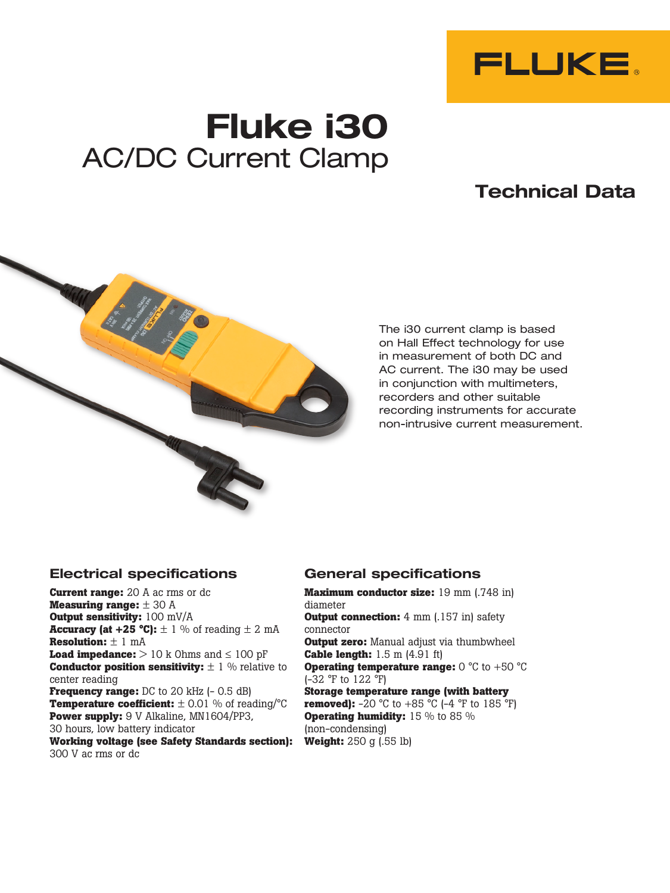

# **Fluke i30** AC/DC Current Clamp

# **Technical Data**



The i30 current clamp is based on Hall Effect technology for use in measurement of both DC and AC current. The i30 may be used in conjunction with multimeters, recorders and other suitable recording instruments for accurate non-intrusive current measurement.

## **Electrical specifications**

**Current range:** 20 A ac rms or dc **Measuring range:** ± 30 A **Output sensitivity:** 100 mV/A **Accuracy (at +25 °C):**  $\pm$  1 % of reading  $\pm$  2 mA **Resolution:** ± 1 mA **Load impedance:**  $> 10$  k Ohms and  $\leq 100$  pF **Conductor position sensitivity:**  $\pm$  1 % relative to center reading **Frequency range:** DC to 20 kHz (- 0.5 dB) **Temperature coefficient:**  $\pm$  0.01 % of reading/°C **Power supply:** 9 V Alkaline, MN1604/PP3, 30 hours, low battery indicator **Working voltage (see Safety Standards section):**

#### 300 V ac rms or dc

### **General specifications**

**Maximum conductor size:** 19 mm (.748 in) diameter **Output connection:** 4 mm (.157 in) safety connector **Output zero:** Manual adjust via thumbwheel **Cable length:** 1.5 m (4.91 ft) **Operating temperature range:** 0 °C to +50 °C (-32 °F to 122 °F) **Storage temperature range (with battery removed):**  $-20 \degree C$  to  $+85 \degree C$  ( $-4 \degree F$  to  $185 \degree F$ ) **Operating humidity:** 15 % to 85 % (non-condensing) **Weight:** 250 g (.55 lb)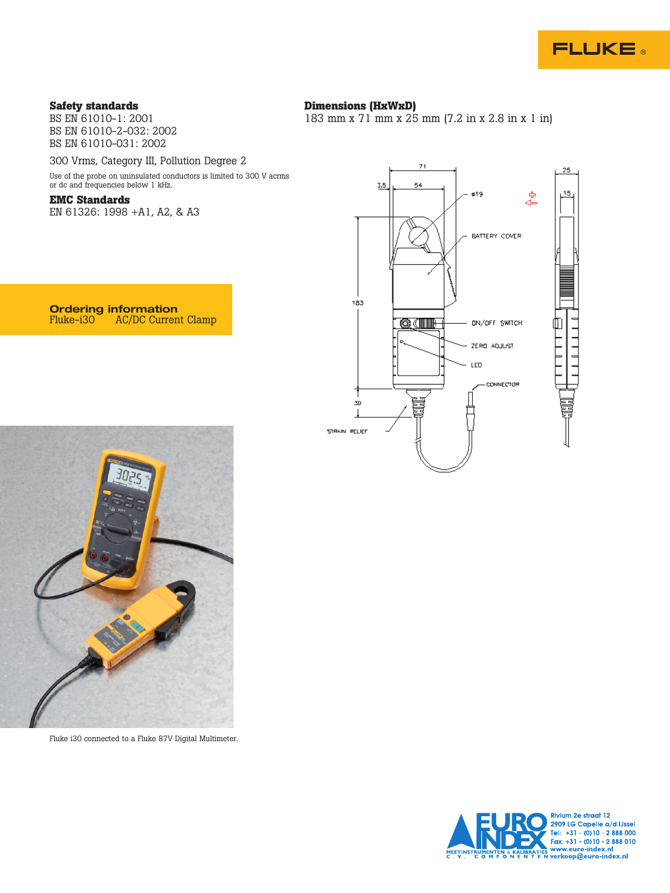

#### **Safety standards**

BS EN 61010-1: 2001 BS EN 61010-2-032: 2002 BS EN 61010-031: 2002

#### **Dimensions (HxWxD)**

183 mm x 71 mm x 25 mm (7.2 in x 2.8 in x 1 in)

300 Vrms, Category III, Pollution Degree 2

Use of the probe on uninsulated conductors is limited to 300 V acrms or dc and frequencies below 1 kHz.

AC/DC Current Clamp

#### **EMC Standards**

EN 61326: 1998 +A1, A2, & A3

**Ordering information**<br>Fluke-i30 AC/DC Curren

 $71$ 25  $\overline{7}$ 54 ø19 e<br>∉ BATTERY COVER 183  $11111111$ 凹 **QOIL** ON/OFF SWITCH ニココ ZERO ADJUST LED CONNECTOR 30 J STRAIN RELIEF



Fluke i30 connected to a Fluke 87V Digital Multimeter.

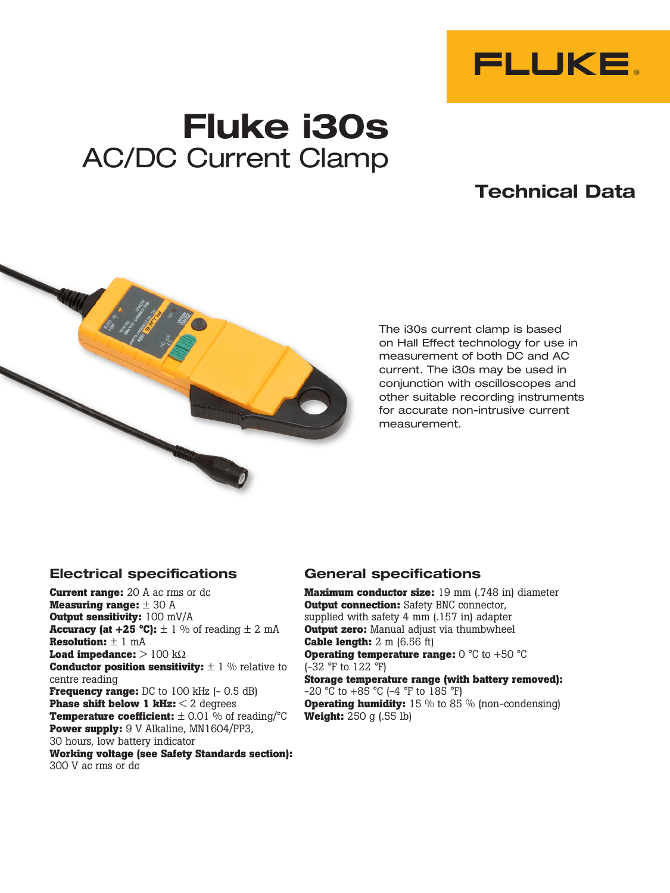

# **Fluke i30s** AC/DC Current Clamp

# **Technical Data**



The i30s current clamp is based on Hall Effect technology for use in measurement of both DC and AC current. The i30s may be used in conjunction with oscilloscopes and other suitable recording instruments for accurate non-intrusive current measurement.

## **Electrical specifications**

**Current range:** 20 A ac rms or dc **Measuring range:** ± 30 A **Output sensitivity:** 100 mV/A **Accuracy (at +25 °C):**  $\pm$  1 % of reading  $\pm$  2 mA **Resolution:** ± 1 mA **Load impedance:**  $> 100 \text{ k}\Omega$ **Conductor position sensitivity:**  $\pm$  1 % relative to centre reading **Frequency range:** DC to 100 kHz (- 0.5 dB) **Phase shift below 1 kHz:** < 2 degrees **Temperature coefficient:**  $\pm$  0.01 % of reading/°C **Power supply:** 9 V Alkaline, MN1604/PP3, 30 hours, low battery indicator **Working voltage (see Safety Standards section):** 300 V ac rms or dc

### **General specifications**

**Maximum conductor size:** 19 mm (.748 in) diameter **Output connection:** Safety BNC connector, supplied with safety 4 mm (.157 in) adapter **Output zero:** Manual adjust via thumbwheel **Cable length:** 2 m (6.56 ft) **Operating temperature range:** 0 °C to +50 °C (-32 °F to 122 °F) **Storage temperature range (with battery removed):**  $-20$  °C to  $+85$  °C (-4 °F to 185 °F) **Operating humidity:** 15 % to 85 % (non-condensing) **Weight:** 250 g (.55 lb)